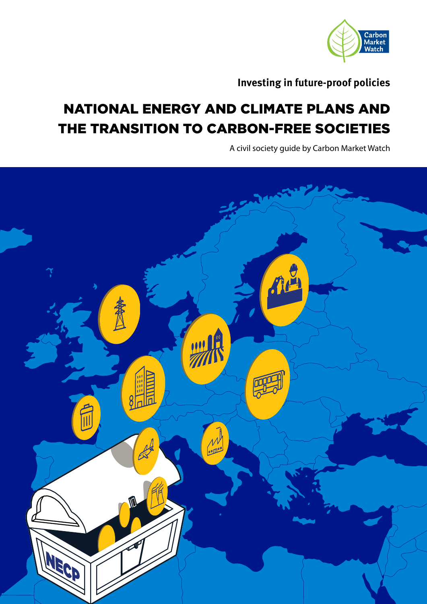

**Investing in future-proof policies**

# NATIONAL ENERGY AND CLIMATE PLANS AND THE TRANSITION TO CARBON-FREE SOCIETIES

A civil society guide by Carbon Market Watch

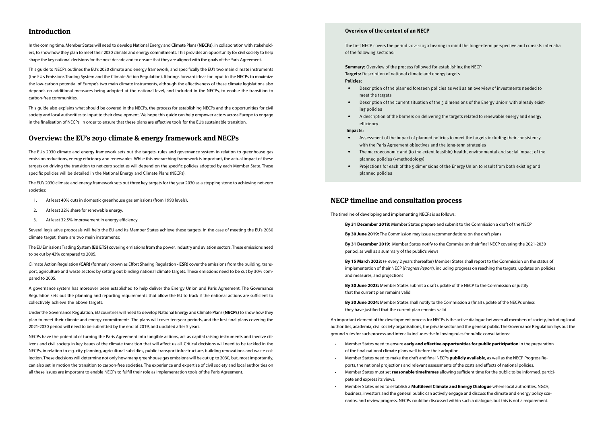# **Introduction**

In the coming time, Member States will need to develop National Energy and Climate Plans **(NECPs)**, in collaboration with stakeholders, to show how they plan to meet their 2030 climate and energy commitments. This provides an opportunity for civil society to help shape the key national decisions for the next decade and to ensure that they are aligned with the goals of the Paris Agreement.

This guide to NECPs outlines the EU's 2030 climate and energy framework, and specifically the EU's two main climate instruments (the EU's Emissions Trading System and the Climate Action Regulation). It brings forward ideas for input to the NECPs to maximize the low-carbon potential of Europe's two main climate instruments, although the effectiveness of these climate legislations also depends on additional measures being adopted at the national level, and included in the NECPs, to enable the transition to carbon-free communities.

This guide also explains what should be covered in the NECPs, the process for establishing NECPs and the opportunities for civil society and local authorities to input to their development. We hope this guide can help empower actors across Europe to engage in the finalisation of NECPs, in order to ensure that these plans are effective tools for the EU's sustainable transition.

# **Overview: the EU's 2030 climate & energy framework and NECPs**

The EU's 2030 climate and energy framework sets out the targets, rules and governance system in relation to greenhouse gas emission reductions, energy efficiency and renewables. While this overarching framework is important, the actual impact of these targets on driving the transition to net-zero societies will depend on the specific policies adopted by each Member State. These specific policies will be detailed in the National Energy and Climate Plans (NECPs).

The EU's 2030 climate and energy framework sets out three key targets for the year 2030 as a stepping stone to achieving net-zero societies:

- 1. At least 40% cuts in domestic greenhouse gas emissions (from 1990 levels).
- 2. At least 32% share for renewable energy.
- 3. At least 32.5% improvement in energy efficiency.

**Summary:** Overview of the process followed for establishing the NECP **Targets:** Description of national climate and energy targets **Policies:**

Several legislative proposals will help the EU and its Member States achieve these targets. In the case of meeting the EU's 2030 climate target, there are two main instruments:

The EU Emissions Trading System **(EU ETS)** covering emissions from the power, industry and aviation sectors. These emissions need to be cut by 43% compared to 2005.

Climate Action Regulation **(CAR)** (formerly known as Effort Sharing Regulation **- ESR**) cover the emissions from the building, transport, agriculture and waste sectors by setting out binding national climate targets. These emissions need to be cut by 30% compared to 2005.

A governance system has moreover been established to help deliver the Energy Union and Paris Agreement. The Governance Regulation sets out the planning and reporting requirements that allow the EU to track if the national actions are sufficient to collectively achieve the above targets.

Under the Governance Regulation, EU countries will need to develop National Energy and Climate Plans **(NECPs)** to show how they plan to meet their climate and energy commitments. The plans will cover ten-year periods, and the first final plans covering the 2021-2030 period will need to be submitted by the end of 2019, and updated after 5 years.

NECPs have the potential of turning the Paris Agreement into tangible actions, act as capital raising instruments and involve citizens and civil society in key issues of the climate transition that will affect us all. Critical decisions will need to be tackled in the NECPs, in relation to e.g. city planning, agricultural subsidies, public transport infrastructure, building renovations and waste collection. These decisions will determine not only how many greenhouse gas emissions will be cut up to 2030, but, most importantly, can also set in motion the transition to carbon-free societies. The experience and expertise of civil society and local authorities on all these issues are important to enable NECPs to fulfill their role as implementation tools of the Paris Agreement.

#### **Overview of the content of an NECP**

The first NECP covers the period 2021-2030 bearing in mind the longer-term perspective and consists inter alia of the following sections:

- Description of the planned foreseen policies as well as an overview of investments needed to meet the targets
- Description of the current situation of the 5 dimensions of the Energy Union<sup>1</sup> with already existing policies
- A description of the barriers on delivering the targets related to renewable energy and energy efficiency

**Impacts:** 

- Assessment of the impact of planned policies to meet the targets including their consistency with the Paris Agreement objectives and the long-term strategies
- The macroeconomic and (to the extent feasible) health, environmental and social impact of the planned policies (+methodology)
- Projections for each of the 5 dimensions of the Energy Union to result from both existing and planned policies

# **NECP timeline and consultation process**

The timeline of developing and implementing NECPs is as follows:

**By 31 December 2018:** Member States prepare and submit to the Commission a draft of the NECP

**By 30 June 2019:** The Commission may issue recommendations on the draft plans

**By 31 December 2019:** Member States notify to the Commission their final NECP covering the 2021-2030 period, as well as a summary of the public's views

**By 15 March 2023:** (+ every 2 years thereafter) Member States shall report to the Commission on the status of implementation of their NECP (*Progress Report*), including progress on reaching the targets, updates on policies and measures, and projections

**By 30 June 2023:** Member States submit a draft update of the NECP to the Commission or justify that the current plan remains valid

**By 30 June 2024:** Member States shall notify to the Commission a (final) update of the NECPs unless they have justified that the current plan remains valid

An important element of the development process for NECPs is the active dialogue between all members of society, including local authorities, academia, civil society organisations, the private sector and the general public. The Governance Regulation lays out the ground rules for such process and inter alia includes the following rules for public consultations:

- Member States need to ensure **early and effective opportunities for public participation** in the preparation of the final national climate plans well before their adoption.
- Member States need to make the draft and final NECPs **publicly availabl**e, as well as the NECP Progress Reports, the national projections and relevant assessments of the costs and effects of national policies. • Member States must set **reasonable timeframes** allowing sufficient time for the public to be informed, partici-
- pate and express its views.
- Member States need to establish a **Multilevel Climate and Energy Dialogue** where local authorities, NGOs, business, investors and the general public can actively engage and discuss the climate and energy policy scenarios, and review progress. NECPs could be discussed within such a dialogue, but this is not a requirement.

- 
- 
- 
- 
- 
- 
-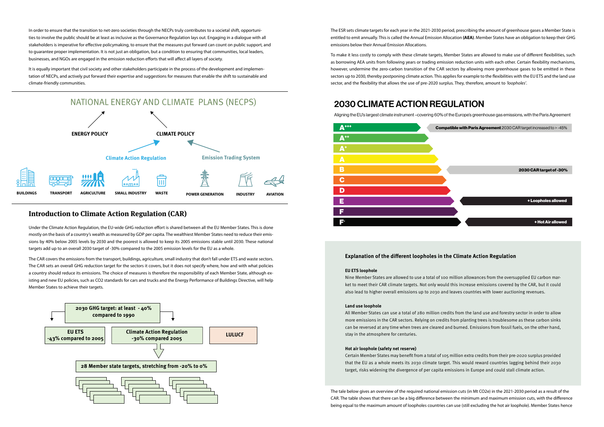In order to ensure that the transition to net-zero societies through the NECPs truly contributes to a societal shift, opportunities to involve the public should be at least as inclusive as the Governance Regulation lays out. Engaging in a dialogue with all stakeholders is imperative for effective policymaking, to ensure that the measures put forward can count on public support, and to guarantee proper implementation. It is not just an obligation, but a condition to ensuring that communities, local leaders, businesses, and NGOs are engaged in the emission reduction efforts that will affect all layers of society.

It is equally important that civil society and other stakeholders participate in the process of the development and implementation of NECPs, and actively put forward their expertise and suggestions for measures that enable the shift to sustainable and climate-friendly communities.

# **Introduction to Climate Action Regulation (CAR)**

Under the Climate Action Regulation, the EU-wide GHG reduction effort is shared between all the EU Member States. This is done mostly on the basis of a country's wealth as measured by GDP per capita. The wealthiest Member States need to reduce their emissions by 40% below 2005 levels by 2030 and the poorest is allowed to keep its 2005 emissions stable until 2030. These national targets add up to an overall 2030 target of -30% compared to the 2005 emission levels for the EU as a whole.

The CAR covers the emissions from the transport, buildings, agriculture, small industry that don't fall under ETS and waste sectors. The CAR sets an overall GHG reduction target for the sectors it covers, but it does not specify where, how and with what policies a country should reduce its emissions. The choice of measures is therefore the responsibility of each Member State, although existing and new EU policies, such as CO2 standards for cars and trucks and the Energy Performance of Buildings Directive, will help Member States to achieve their targets.

The ESR sets climate targets for each year in the 2021-2030 period, prescribing the amount of greenhouse gases a Member State is entitled to emit annually. This is called the Annual Emission Allocation **(AEA)**. Member States have an obligation to keep their GHG emissions below their Annual Emission Allocations.

To make it less costly to comply with these climate targets, Member States are allowed to make use of different flexibilities, such as borrowing AEA units from following years or trading emission reduction units with each other. Certain flexibility mechanisms, however, undermine the zero-carbon transition of the CAR sectors by allowing more greenhouse gases to be emitted in these sectors up to 2030, thereby postponing climate action. This applies for example to the flexibilities with the EU ETS and the land use sector, and the flexibility that allows the use of pre-2020 surplus. They, therefore, amount to *'loopholes'*.

## **Explanation of the different loopholes in the Climate Action Regulation**

#### **EU ETS loophole**

Nine Member States are allowed to use a total of 100 million allowances from the oversupplied EU carbon market to meet their CAR climate targets. Not only would this increase emissions covered by the CAR, but it could also lead to higher overall emissions up to 2030 and leaves countries with lower auctioning revenues.

#### **Land use loophole**

All Member States can use a total of 280 million credits from the land use and forestry sector in order to allow more emissions in the CAR sectors. Relying on credits from planting trees is troublesome as these carbon sinks can be reversed at any time when trees are cleared and burned. Emissions from fossil fuels, on the other hand, stay in the atmosphere for centuries.

#### **Hot air loophole (safety net reserve)**

Certain Member States may benefit from a total of 105 million extra credits from their pre-2020 surplus provided that the EU as a whole meets its 2030 climate target. This would reward countries lagging behind their 2030 target, risks widening the divergence of per capita emissions in Europe and could stall climate action.

The tale below gives an overview of the required national emission cuts (in Mt CO2e) in the 2021-2030 period as a result of the CAR. The table shows that there can be a big difference between the minimum and maximum emission cuts, with the difference being equal to the maximum amount of loopholes countries can use (still excluding the hot air loophole). Member States hence







+ Hot Air allowed + Loopholes allowed 2030 CAR target of -30% Compatible with Paris Agreement 2030 CAR target increased to > -45%

Aligning the EU's largest climate instrument –covering 60% of the Europe's greenhouse gas emissions, with the Paris Agreement

# 2030 CLIMATE ACTION REGULATION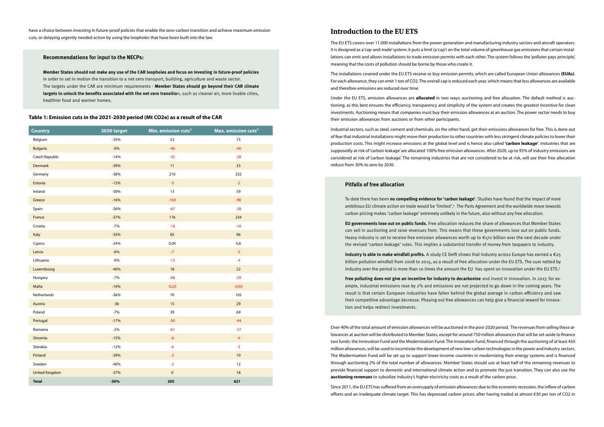have a choice between investing in future-proof policies that enable the zero-carbon transition and achieve maximum emission cuts, or delaying urgently needed action by using the loopholes that have been built into the law.

#### **Recommendations for input to the NECPs:**

**Member States should not make any use of the CAR loopholes and focus on investing in future-proof policies** in order to set in motion the transition to a net-zero transport, building, agriculture and waste sector. The targets under the CAR are minimum requirements - **Member States should go beyond their CAR climate targets to unlock the benefits associated with the net-zero transitio**n, such as cleaner air, more livable cities, healthier food and warmer homes.

#### **Table 1: Emission cuts in the 2021-2030 period (Mt CO2e) as a result of the CAR**

| <b>Country</b>        | 2030 target | Min. emission cuts <sup>2</sup> | Max. emission cuts <sup>3</sup> |
|-----------------------|-------------|---------------------------------|---------------------------------|
| Belgium               | $-35%$      | 53                              | 73                              |
| <b>Bulgaria</b>       | $-0%$       | $-46$                           | $-40$                           |
| Czech Republic        | $-14%$      | $-35$                           | $-28$                           |
| Denmark               | $-39%$      | 11                              | 33                              |
| Germany               | $-38%$      | 210                             | 232                             |
| Estonia               | $-13%$      | $-3$                            | $-2$                            |
| Ireland               | $-30%$      | 13                              | 59                              |
| Greece                | $-16%$      | $-103$                          | $-96$                           |
| Spain                 | $-26%$      | $-67$                           | $-38$                           |
| France                | $-37%$      | 176                             | 234                             |
| Croatia               | $-7%$       | $-18$                           | $-16$                           |
| Italy                 | $-33%$      | 85                              | 96                              |
| Cyprus                | $-24%$      | 0,04                            | 0,6                             |
| Latvia                | $-6%$       | $-7$                            | $-3$                            |
| Lithuania             | $-9%$       | $-13$                           | $-4$                            |
| Luxembourg            | $-40%$      | $18\,$                          | $22$                            |
| Hungary               | $-7%$       | $-68$                           | $-59$                           |
| Malta                 | $-19%$      | $-0,25$                         | $-0,03$                         |
| Netherlands           | $-36%$      | 70                              | 105                             |
| Austria               | $-36$       | 15                              | 29                              |
| Poland                | $-7%$       | 39                              | 69                              |
| Portugal              | $-17%$      | $-50$                           | $-44$                           |
| Romania               | $-2%$       | $-61$                           | $-37$                           |
| Slovenia              | $-15%$      | $-6$                            | $-4$                            |
| Slovakia              | $-12%$      | $-6$                            | $-3$                            |
| Finland               | $-39%$      | $-2$                            | 10                              |
| Sweden                | $-40%$      | $-2$                            | 12                              |
| <b>United Kingdom</b> | $-37%$      | $\mathbf 0$                     | 18                              |
| <b>Total</b>          | $-30%$      | 205                             | 621                             |

# **Introduction to the EU ETS**

The EU ETS covers over 11.000 installations from the power generation and manufacturing industry sectors and aircraft operators. It is designed as a 'cap-and-trade' system; it puts a limit (a 'cap') on the total volume of greenhouse gas emissions that certain installations can emit and allows installations to trade emission permits with each other. The system follows the 'polluter pays principle', meaning that the costs of pollution should be borne by those who create it.

The installations covered under the EU ETS receive or buy emission permits, which are called European Union allowances **(EUAs)**. For each allowance, they can emit 1 ton of CO2. The overall cap is reduced each year, which means that less allowances are available and therefore emissions are reduced over time.

Under the EU ETS, emission allowances are **allocated** in two ways: auctioning and free allocation. The default method is auctioning, as this best ensures the efficiency, transparency and simplicity of the system and creates the greatest incentive for clean investments. Auctioning means that companies must buy their emission allowances at an auction. The power sector needs to buy their emission allowances from auctions or from other participants.

Industrial sectors, such as steel, cement and chemicals, on the other hand, get their emissions allowances for free. This is done out of fear that industrial installations might move their production to other countries with less stringent climate policies to lower their production costs. This might increase emissions at the global level and is hence also called **'carbon leakage'**. Industries that are supposedly at risk of 'carbon leakage' are allocated 100% free emission allowances. After 2020, up to 95% of industry emissions are considered at risk of 'carbon leakage'. The remaining industries that are not considered to be at risk, will see their free allocation reduce from 30% to zero by 2030.

### **Pitfalls of free allocation**

To date there has been **no compelling evidence for 'carbon leakage'**. Studies have found that the impact of more ambitious EU climate action on trade would be 'limited'.4 The Paris Agreement and the worldwide move towards carbon pricing makes 'carbon leakage' extremely unlikely in the future, also without any free allocation.

**EU governments lose out on public funds.** Free allocation reduces the share of allowances that Member States can sell in auctioning and raise revenues from. This means that these governments lose out on public funds. Heavy industry is set to receive free emission allowances worth up to €170 billion over the next decade under the revised 'carbon leakage' rules. This implies a substantial transfer of money from taxpayers to industry.

**Industry is able to make windfall profits.** A study CE Delft shows that industry across Europe has earned a €25 billion pollution windfall from 2008 to 2015, as a result of free allocation under the EU ETS. The sum netted by industry over the period is more than 10 times the amount the EU has spent on innovation under the EU ETS.5

**Free polluting does not give an incentive for industry to decarbonise** and invest in innovation. In 2017, for example, industrial emissions rose by 2% and emissions are not projected to go down in the coming years. The result is that certain European industries have fallen behind the global average in carbon efficiency and saw their competitive advantage decrease. Phasing-out free allowances can help give a financial reward for innovation and helps redirect investments.

Over 40% of the total amount of emission allowances will be auctioned in the post-2020 period. The revenues from selling these allowances at auction will be distributed to Member States, except for around 750 million allowances that will be set-aside to finance two funds: the Innovation Fund and the Modernisation Fund. The Innovation Fund, financed through the auctioning of at least 450 million allowances, will be used to incentivize the development of new low-carbon technologies in the power and industry sectors. The Modernisation Fund will be set up to support lower-income countries in modernizing their energy systems and is financed through auctioning 2% of the total number of allowances. Member States should use at least half of the remaining revenues to provide financial support to domestic and international climate action and to promote the just transition. They can also use the **auctioning revenues** to subsidize industry's higher electricity costs as a result of the carbon price.

Since 2011, the EU ETS has suffered from an oversupply of emission allowances due to the economic recession, the inflow of carbon offsets and an inadequate climate target. This has depressed carbon prices: after having traded at almost €30 per ton of CO2 in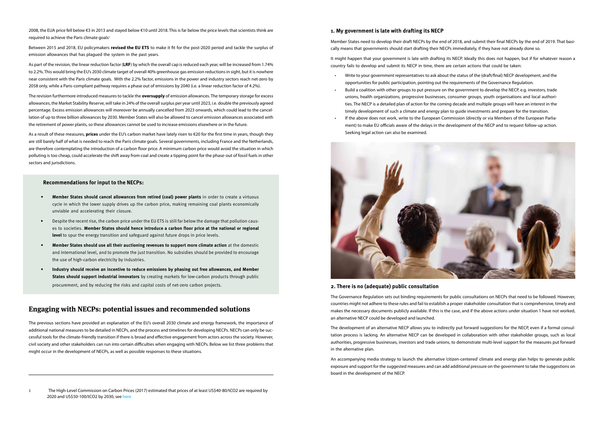2008, the EUA price fell below €3 in 2013 and stayed below €10 until 2018. This is far below the price levels that scientists think are required to achieve the Paris climate goals<sup>1</sup>.

Between 2015 and 2018, EU policymakers **revised the EU ETS** to make it fit for the post-2020 period and tackle the surplus of emission allowances that has plagued the system in the past years.

As part of the revision, the linear reduction factor (**LRF**) by which the overall cap is reduced each year, will be increased from 1.74% to 2.2%. This would bring the EU's 2030 climate target of overall 40% greenhouse gas emission reductions in sight, but it is nowhere near consistent with the Paris climate goals. With the 2.2% factor, emissions in the power and industry sectors reach net-zero by 2058 only, while a Paris-compliant pathway requires a phase out of emissions by 2040 (i.e. a linear reduction factor of 4.2%).

The revision furthermore introduced measures to tackle the **oversupply** of emission allowances. The temporary storage for excess allowances, the Market Stability Reserve, will take in 24% of the overall surplus per year until 2023, i.e. double the previously agreed percentage. Excess emission allowances will moreover be annually cancelled from 2023 onwards, which could lead to the cancellation of up to three billion allowances by 2030. Member States will also be allowed to cancel emission allowances associated with the retirement of power plants, so these allowances cannot be used to increase emissions elsewhere or in the future.

As a result of these measures, **prices** under the EU's carbon market have lately risen to €20 for the first time in years, though they are still barely half of what is needed to reach the Paris climate goals. Several governments, including France and the Netherlands, are therefore contemplating the introduction of a carbon floor price. A minimum carbon price would avoid the situation in which polluting is too cheap, could accelerate the shift away from coal and create a tipping point for the phase-out of fossil fuels in other sectors and jurisdictions.

#### **Recommendations for input to the NECPs:**

- **• Member States should cancel allowances from retired (coal) power plants** in order to create a virtuous cycle in which the lower supply drives up the carbon price, making remaining coal plants economically unviable and accelerating their closure.
- Despite the recent rise, the carbon price under the EU ETS is still far below the damage that pollution causes to societies. **Member States should hence introduce a carbon floor price at the national or regional level** to spur the energy transition and safeguard against future drops in price levels.
- **• Member States should use all their auctioning revenues to support more climate action** at the domestic and international level, and to promote the just transition. No subsidies should be provided to encourage the use of high-carbon electricity by industries.
- **• Industry should receive an incentive to reduce emissions by phasing out free allowances, and Member States should support industrial innovators** by creating markets for low-carbon products through public procurement, and by reducing the risks and capital costs of net-zero carbon projects.

# **Engaging with NECPs: potential issues and recommended solutions**

The previous sections have provided an explanation of the EU's overall 2030 climate and energy framework, the importance of additional national measures to be detailed in NECPs, and the process and timelines for developing NECPs. NECPs can only be successful tools for the climate-friendly transition if there is broad and effective engagement from actors across the society. However, civil society and other stakeholders can run into certain difficulties when engaging with NECPs. Below we list three problems that might occur in the development of NECPs, as well as possible responses to these situations.

1 The High-Level Commission on Carbon Prices (2017) estimated that prices of at least US\$40-80/tCO2 are required by 2020 and US\$50-100/tCO2 by 2030, see [here](https://static1.squarespace.com/static/54ff9c5ce4b0a53decccfb4c/t/59b7f2409f8dce5316811916/1505227332748/CarbonPricing_FullReport.pdf)

#### **1. My government is late with drafting its NECP**

Member States need to develop their draft NECPs by the end of 2018, and submit their final NECPs by the end of 2019. That basically means that governments should start drafting their NECPs immediately, if they have not already done so.

It might happen that your government is late with drafting its NECP. Ideally this does not happen, but if for whatever reason a country fails to develop and submit its NECP in time, there are certain actions that could be taken:

- Write to your government representatives to ask about the status of the (draft/final) NECP development, and the opportunities for public participation, pointing out the requirements of the Governance Regulation.
- Build a coalition with other groups to put pressure on the government to develop the NECP, e.g. investors, trade unions, health organizations, progressive businesses, consumer groups, youth organisations and local authorities. The NECP is a detailed plan of action for the coming decade and multiple groups will have an interest in the timely development of such a climate and energy plan to guide investments and prepare for the transition.
- If the above does not work, write to the European Commission (directly or via Members of the European Parliament) to make EU officials aware of the delays in the development of the NECP and to request follow-up action. Seeking legal action can also be examined.



#### **2. There is no (adequate) public consultation**

The Governance Regulation sets out binding requirements for public consultations on NECPs that need to be followed. However, countries might not adhere to these rules and fail to establish a proper stakeholder consultation that is comprehensive, timely and makes the necessary documents publicly available. If this is the case, and if the above actions under situation 1 have not worked, an alternative NECP could be developed and launched.

The development of an alternative NECP allows you to indirectly put forward suggestions for the NECP, even if a formal consultation process is lacking. An alternative NECP can be developed in collaboration with other stakeholder groups, such as local authorities, progressive businesses, investors and trade unions, to demonstrate multi-level support for the measures put forward in the alternative plan.

An accompanying media strategy to launch the alternative 'citizen-centered' climate and energy plan helps to generate public exposure and support for the suggested measures and can add additional pressure on the government to take the suggestions on board in the development of the NECP.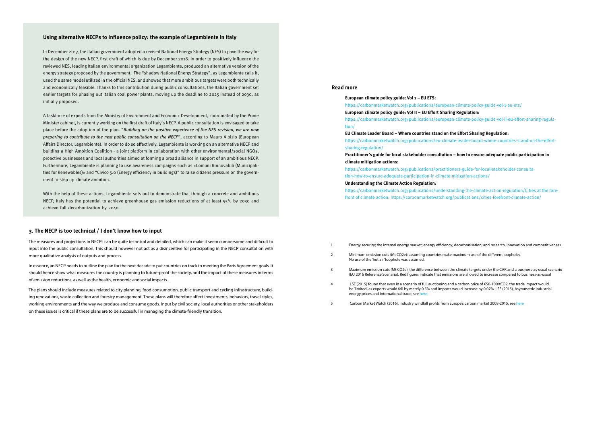#### **Using alternative NECPs to influence policy: the example of Legambiente in Italy**

In December 2017, the Italian government adopted a revised National Energy Strategy (NES) to pave the way for the design of the new NECP, first draft of which is due by December 2018. In order to positively influence the reviewed NES, leading Italian environmental organization Legambiente, produced an alternative version of the energy strategy proposed by the government. The "shadow National Energy Strategy", as Legambiente calls it, used the same model utilized in the official NES, and showed that more ambitious targets were both technically and economically feasible. Thanks to this contribution during public consultations, the Italian government set earlier targets for phasing out Italian coal power plants, moving up the deadline to 2025 instead of 2030, as initially proposed.

A taskforce of experts from the Ministry of Environment and Economic Development, coordinated by the Prime Minister cabinet, is currently working on the first draft of Italy's NECP. A public consultation is envisaged to take place before the adoption of the plan. "Building on the positive experience of the NES revision, we are now preparing to contribute to the next public consultation on the NECP", according to Mauro Albizio (European Affairs Director, Legambiente). In order to do so effectively, Legambiente is working on an alternative NECP and building a High Ambition Coalition - a joint platform in collaboration with other environmental/social NGOs, proactive businesses and local authorities aimed at forming a broad alliance in support of an ambitious NECP. Furthermore, Legambiente is planning to use awareness campaigns such as «Comuni Rinnovabili (Municipalities for Renewables)» and "Civico 5.0 (Energy efficiency in buildings)" to raise citizens pressure on the government to step up climate ambition.

With the help of these actions, Legambiente sets out to demonstrate that through a concrete and ambitious NECP, Italy has the potential to achieve greenhouse gas emission reductions of at least 55% by 2030 and achieve full decarbonization by 2040.

#### **3. The NECP is too technical / I don't know how to input**

The measures and projections in NECPs can be quite technical and detailed, which can make it seem cumbersome and difficult to input into the public consultation. This should however not act as a disincentive for participating in the NECP consultation with more qualitative analysis of outputs and process.

In essence, an NECP needs to outline the plan for the next decade to put countries on track to meeting the Paris Agreement goals. It should hence show what measures the country is planning to future-proof the society, and the impact of these measures in terms of emission reductions, as well as the health, economic and social impacts.

The plans should include measures related to city planning, food consumption, public transport and cycling infrastructure, building renovations, waste collection and forestry management. These plans will therefore affect investments, behaviors, travel styles, working environments and the way we produce and consume goods. Input by civil society, local authorities or other stakeholders on these issues is critical if these plans are to be successful in managing the climate-friendly transition.

#### **Read more**

**European climate policy guide: Vol 1 – EU ETS:** 

<https://carbonmarketwatch.org/publications/european-climate-policy-guide-vol-1-eu-ets/> **European climate policy guide: Vol II – EU Effort Sharing Regulation:** [https://carbonmarketwatch.org/publications/european-climate-policy-guide-vol-ii-eu-effort-sharing-regula](https://carbonmarketwatch.org/publications/european-climate-policy-guide-vol-ii-eu-effort-sharing-regulation/)[tion/](https://carbonmarketwatch.org/publications/european-climate-policy-guide-vol-ii-eu-effort-sharing-regulation/)

**EU Climate Leader Board – Where countries stand on the Effort Sharing Regulation:** [https://carbonmarketwatch.org/publications/eu-climate-leader-board-where-countries-stand-on-the-effort](https://carbonmarketwatch.org/publications/eu-climate-leader-board-where-countries-stand-on-the-effort-sharing-regulation/)[sharing-regulation/](https://carbonmarketwatch.org/publications/eu-climate-leader-board-where-countries-stand-on-the-effort-sharing-regulation/) 

#### **Practitioner's guide for local stakeholder consultation – how to ensure adequate public participation in**

carbonisation; and research, innovation and competitiveness

ximum use of the different loopholes.

limate targets under the CAR and a business-as-usual scenario are allowed to increase compared to business-as-usual

 $c$ arbon price of  $€50-100/tCO2$ , the trade impact would ald increase by 0.07%. LSE (2015), Asymmetric industrial

**climate mitigation actions:**

[https://carbonmarketwatch.org/publications/practitioners-guide-for-local-stakeholder-consulta](https://carbonmarketwatch.org/publications/practitioners-guide-for-local-stakeholder-consultation-how-to-ensure-adequate-participation-in-climate-mitigation-actions/)[tion-how-to-ensure-adequate-participation-in-climate-mitigation-actions/](https://carbonmarketwatch.org/publications/practitioners-guide-for-local-stakeholder-consultation-how-to-ensure-adequate-participation-in-climate-mitigation-actions/) 

#### **Understanding the Climate Action Regulation:**

[https://carbonmarketwatch.org/publications/understanding-the-climate-action-regulation/C](https://carbonmarketwatch.org/publications/understanding-the-climate-action-regulation/)ities at the forefront of climate action: <https://carbonmarketwatch.org/publications/cities-forefront-climate-action/>

|   | Energy security; the internal energy market; energy efficiency; dee                                                                                                                           |
|---|-----------------------------------------------------------------------------------------------------------------------------------------------------------------------------------------------|
| 2 | Minimum emission cuts (Mt CO2e): assuming countries make may<br>No use of the 'hot air' loophole was assumed.                                                                                 |
| 3 | Maximum emission cuts (Mt CO2e): the difference between the cl<br>(EU 2016 Reference Scenario). Red figures indicate that emissions                                                           |
| 4 | LSE (2015) found that even in a scenario of full auctioning and a c<br>be 'limited', as exports would fall by merely 0.5% and imports wou<br>energy prices and international trade, see here. |

5 Carbon Market Watch (2016), Industry windfall profits from Europe's carbon market 2008-2015, see [here](https://carbonmarketwatch.org/wp-content/uploads/2016/11/CMW-Industry-windfall-profits-from-Europe%E2%80%99s-carbon-market-2008-2015_web_final.pdf)